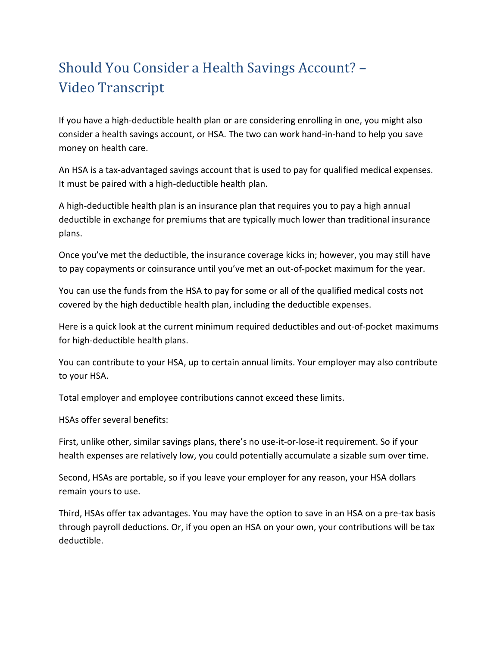## Should You Consider a Health Savings Account? – Video Transcript

If you have a high-deductible health plan or are considering enrolling in one, you might also consider a health savings account, or HSA. The two can work hand-in-hand to help you save money on health care.

An HSA is a tax-advantaged savings account that is used to pay for qualified medical expenses. It must be paired with a high-deductible health plan.

A high-deductible health plan is an insurance plan that requires you to pay a high annual deductible in exchange for premiums that are typically much lower than traditional insurance plans.

Once you've met the deductible, the insurance coverage kicks in; however, you may still have to pay copayments or coinsurance until you've met an out-of-pocket maximum for the year.

You can use the funds from the HSA to pay for some or all of the qualified medical costs not covered by the high deductible health plan, including the deductible expenses.

Here is a quick look at the current minimum required deductibles and out-of-pocket maximums for high-deductible health plans.

You can contribute to your HSA, up to certain annual limits. Your employer may also contribute to your HSA.

Total employer and employee contributions cannot exceed these limits.

HSAs offer several benefits:

First, unlike other, similar savings plans, there's no use-it-or-lose-it requirement. So if your health expenses are relatively low, you could potentially accumulate a sizable sum over time.

Second, HSAs are portable, so if you leave your employer for any reason, your HSA dollars remain yours to use.

Third, HSAs offer tax advantages. You may have the option to save in an HSA on a pre-tax basis through payroll deductions. Or, if you open an HSA on your own, your contributions will be tax deductible.